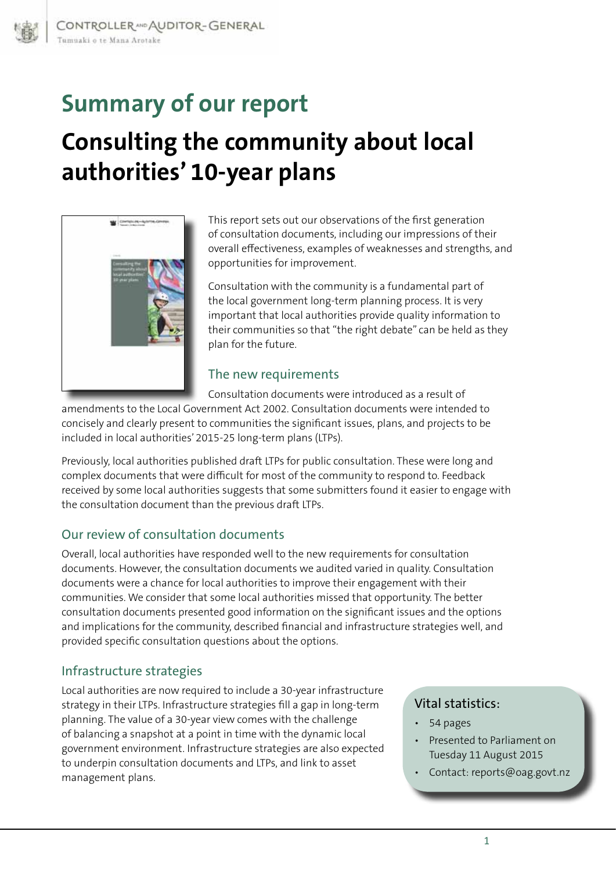# **Summary of our report Consulting the community about local authorities' 10-year plans**



This report sets out our observations of the first generation of consultation documents, including our impressions of their overall effectiveness, examples of weaknesses and strengths, and opportunities for improvement.

Consultation with the community is a fundamental part of the local government long-term planning process. It is very important that local authorities provide quality information to their communities so that "the right debate" can be held as they plan for the future.

### The new requirements

Consultation documents were introduced as a result of amendments to the Local Government Act 2002. Consultation documents were intended to concisely and clearly present to communities the significant issues, plans, and projects to be

Previously, local authorities published draft LTPs for public consultation. These were long and complex documents that were difficult for most of the community to respond to. Feedback received by some local authorities suggests that some submitters found it easier to engage with the consultation document than the previous draft LTPs.

## Our review of consultation documents

included in local authorities' 2015-25 long-term plans (LTPs).

Overall, local authorities have responded well to the new requirements for consultation documents. However, the consultation documents we audited varied in quality. Consultation documents were a chance for local authorities to improve their engagement with their communities. We consider that some local authorities missed that opportunity. The better consultation documents presented good information on the significant issues and the options and implications for the community, described financial and infrastructure strategies well, and provided specific consultation questions about the options.

#### Infrastructure strategies

Local authorities are now required to include a 30-year infrastructure strategy in their LTPs. Infrastructure strategies fill a gap in long-term planning. The value of a 30-year view comes with the challenge of balancing a snapshot at a point in time with the dynamic local government environment. Infrastructure strategies are also expected to underpin consultation documents and LTPs, and link to asset management plans.

#### Vital statistics:

- • 54 pages
- Presented to Parliament on Tuesday 11 August 2015
- • Contact: reports@oag.govt.nz